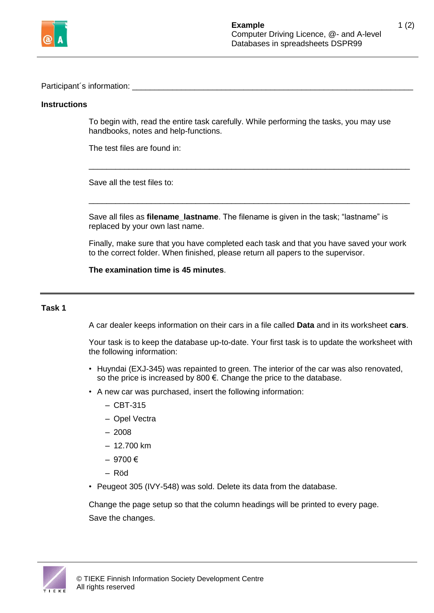

Participant´s information: \_\_\_\_\_\_\_\_\_\_\_\_\_\_\_\_\_\_\_\_\_\_\_\_\_\_\_\_\_\_\_\_\_\_\_\_\_\_\_\_\_\_\_\_\_\_\_\_\_\_\_\_\_\_\_\_\_\_\_\_\_\_\_

## **Instructions**

To begin with, read the entire task carefully. While performing the tasks, you may use handbooks, notes and help-functions.

\_\_\_\_\_\_\_\_\_\_\_\_\_\_\_\_\_\_\_\_\_\_\_\_\_\_\_\_\_\_\_\_\_\_\_\_\_\_\_\_\_\_\_\_\_\_\_\_\_\_\_\_\_\_\_\_\_\_\_\_\_\_\_\_\_\_\_\_\_\_\_\_

\_\_\_\_\_\_\_\_\_\_\_\_\_\_\_\_\_\_\_\_\_\_\_\_\_\_\_\_\_\_\_\_\_\_\_\_\_\_\_\_\_\_\_\_\_\_\_\_\_\_\_\_\_\_\_\_\_\_\_\_\_\_\_\_\_\_\_\_\_\_\_\_

The test files are found in:

Save all the test files to:

Save all files as **filename\_lastname**. The filename is given in the task; "lastname" is replaced by your own last name.

Finally, make sure that you have completed each task and that you have saved your work to the correct folder. When finished, please return all papers to the supervisor.

**The examination time is 45 minutes**.

## **Task 1**

A car dealer keeps information on their cars in a file called **Data** and in its worksheet **cars**.

Your task is to keep the database up-to-date. Your first task is to update the worksheet with the following information:

- Huyndai (EXJ-345) was repainted to green. The interior of the car was also renovated, so the price is increased by 800 €. Change the price to the database.
- A new car was purchased, insert the following information:
	- $-$  CBT-315
	- Opel Vectra
	- 2008
	- $-12.700$  km
	- 9700 €
	- Röd
- Peugeot 305 (IVY-548) was sold. Delete its data from the database.

Change the page setup so that the column headings will be printed to every page. Save the changes.